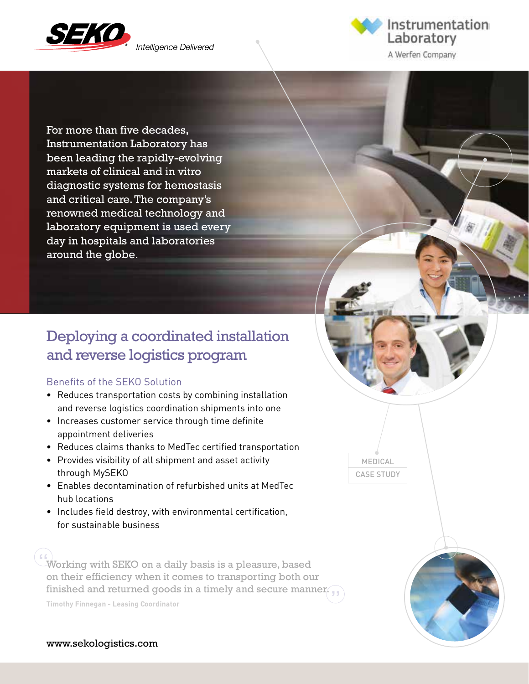

Intelligence Delivered



For more than five decades, Instrumentation Laboratory has been leading the rapidly-evolving markets of clinical and in vitro diagnostic systems for hemostasis and critical care. The company's renowned medical technology and laboratory equipment is used every day in hospitals and laboratories around the globe.

## Deploying a coordinated installation and reverse logistics program

#### Benefits of the SEKO Solution

- Reduces transportation costs by combining installation and reverse logistics coordination shipments into one
- Increases customer service through time definite appointment deliveries
- Reduces claims thanks to MedTec certified transportation
- Provides visibility of all shipment and asset activity through MySEKO
- Enables decontamination of refurbished units at MedTec hub locations
- Includes field destroy, with environmental certification, for sustainable business

 $\begin{array}{l} \text{if (} \\ \text{Working with SEKO on a daily basis is a pleasure, based }\end{array}$ on their efficiency when it comes to transporting both our  $\min$  finished and returned goods in a timely and secure manner.  $\int$ 

**Timothy Finnegan - Leasing Coordinator**

MEDICAL CASE STUDY